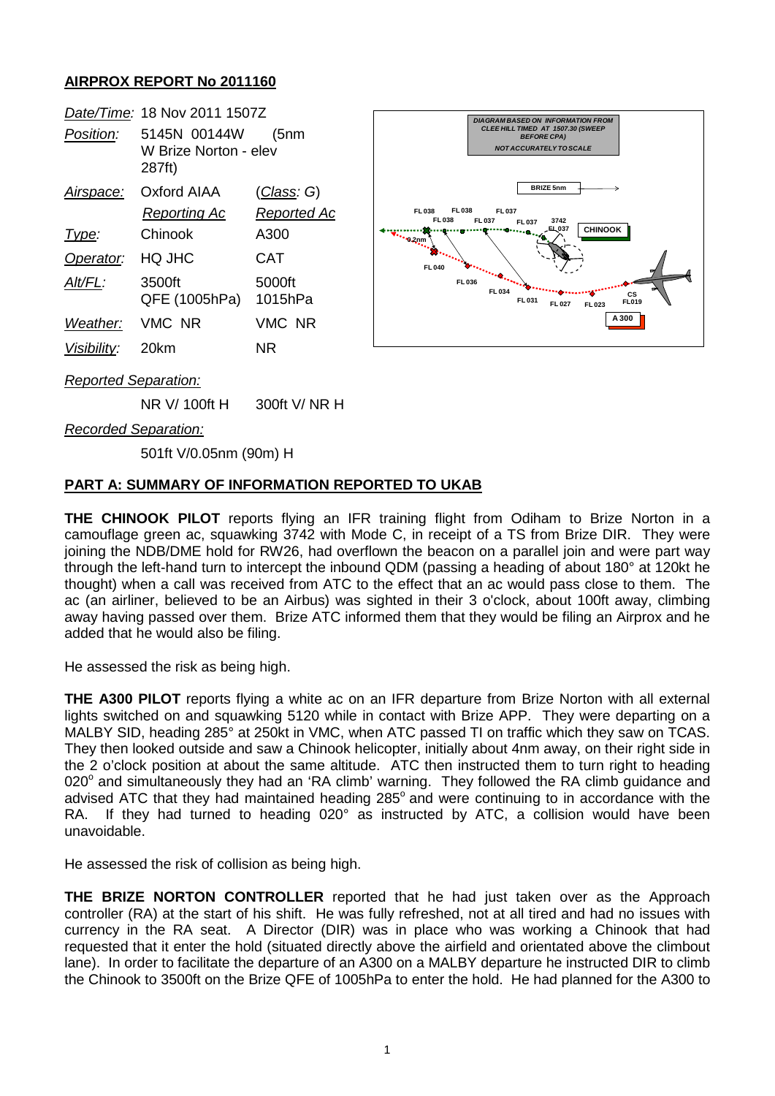# **AIRPROX REPORT No 2011160**

|                             | Date/Time: 18 Nov 2011 1507Z                    |                    | <b>DIAGRAM BASED ON INFORMATION FROM</b>                                                                                                                                                                                                                                                                                                                                                                          |
|-----------------------------|-------------------------------------------------|--------------------|-------------------------------------------------------------------------------------------------------------------------------------------------------------------------------------------------------------------------------------------------------------------------------------------------------------------------------------------------------------------------------------------------------------------|
| Position:                   | 5145N 00144W<br>W Brize Norton - elev<br>287ft) | (5nm               | CLEE HILL TIMED AT 1507.30 (SWEEP<br><b>BEFORE CPA)</b><br><b>NOT ACCURATELY TO SCALE</b>                                                                                                                                                                                                                                                                                                                         |
| Airspace:                   | <b>Oxford AIAA</b>                              | <u>(Class</u> : G) | <b>BRIZE 5nm</b>                                                                                                                                                                                                                                                                                                                                                                                                  |
|                             | <b>Reporting Ac</b>                             | <b>Reported Ac</b> | FL 038<br>FL 037<br>FL 038<br><b>FL038</b><br>FL 037<br>3742<br>FL 037                                                                                                                                                                                                                                                                                                                                            |
| Type:                       | Chinook                                         | A300               | <b>CHINOOK</b><br>LEL037<br><b>Stationary Control</b><br>$\begin{picture}(180,10) \put(0,0){\line(1,0){10}} \put(0,0){\line(1,0){10}} \put(0,0){\line(1,0){10}} \put(0,0){\line(1,0){10}} \put(0,0){\line(1,0){10}} \put(0,0){\line(1,0){10}} \put(0,0){\line(1,0){10}} \put(0,0){\line(1,0){10}} \put(0,0){\line(1,0){10}} \put(0,0){\line(1,0){10}} \put(0,0){\line(1,0){10}} \put(0,0){\line(1,0){10}} \put(0$ |
| Operator:                   | HQ JHC                                          | <b>CAT</b>         | <b>FL040</b>                                                                                                                                                                                                                                                                                                                                                                                                      |
| Alt/FL:                     | 3500ft<br>QFE (1005hPa)                         | 5000ft<br>1015hPa  | <b>Charles Controller</b><br>FL 036<br>FL 034<br>СS<br>FL 031<br>FL019<br>FL 027<br>FL 023                                                                                                                                                                                                                                                                                                                        |
| Weather:                    | VMC NR                                          | VMC NR             | A 300                                                                                                                                                                                                                                                                                                                                                                                                             |
| Visibility:                 | 20km                                            | <b>NR</b>          |                                                                                                                                                                                                                                                                                                                                                                                                                   |
| <b>Reported Separation:</b> |                                                 |                    |                                                                                                                                                                                                                                                                                                                                                                                                                   |

NR V/ 100ft H 300ft V/ NR H

*Recorded Separation:*

501ft V/0.05nm (90m) H

# **PART A: SUMMARY OF INFORMATION REPORTED TO UKAB**

**THE CHINOOK PILOT** reports flying an IFR training flight from Odiham to Brize Norton in a camouflage green ac, squawking 3742 with Mode C, in receipt of a TS from Brize DIR. They were joining the NDB/DME hold for RW26, had overflown the beacon on a parallel join and were part way through the left-hand turn to intercept the inbound QDM (passing a heading of about 180° at 120kt he thought) when a call was received from ATC to the effect that an ac would pass close to them. The ac (an airliner, believed to be an Airbus) was sighted in their 3 o'clock, about 100ft away, climbing away having passed over them. Brize ATC informed them that they would be filing an Airprox and he added that he would also be filing.

He assessed the risk as being high.

**THE A300 PILOT** reports flying a white ac on an IFR departure from Brize Norton with all external lights switched on and squawking 5120 while in contact with Brize APP. They were departing on a MALBY SID, heading 285° at 250kt in VMC, when ATC passed TI on traffic which they saw on TCAS. They then looked outside and saw a Chinook helicopter, initially about 4nm away, on their right side in the 2 o'clock position at about the same altitude. ATC then instructed them to turn right to heading 020° and simultaneously they had an 'RA climb' warning. They followed the RA climb guidance and advised ATC that they had maintained heading 285° and were continuing to in accordance with the RA. If they had turned to heading 020° as instructed by ATC, a collision would have been unavoidable.

He assessed the risk of collision as being high.

**THE BRIZE NORTON CONTROLLER** reported that he had just taken over as the Approach controller (RA) at the start of his shift. He was fully refreshed, not at all tired and had no issues with currency in the RA seat. A Director (DIR) was in place who was working a Chinook that had requested that it enter the hold (situated directly above the airfield and orientated above the climbout lane). In order to facilitate the departure of an A300 on a MALBY departure he instructed DIR to climb the Chinook to 3500ft on the Brize QFE of 1005hPa to enter the hold. He had planned for the A300 to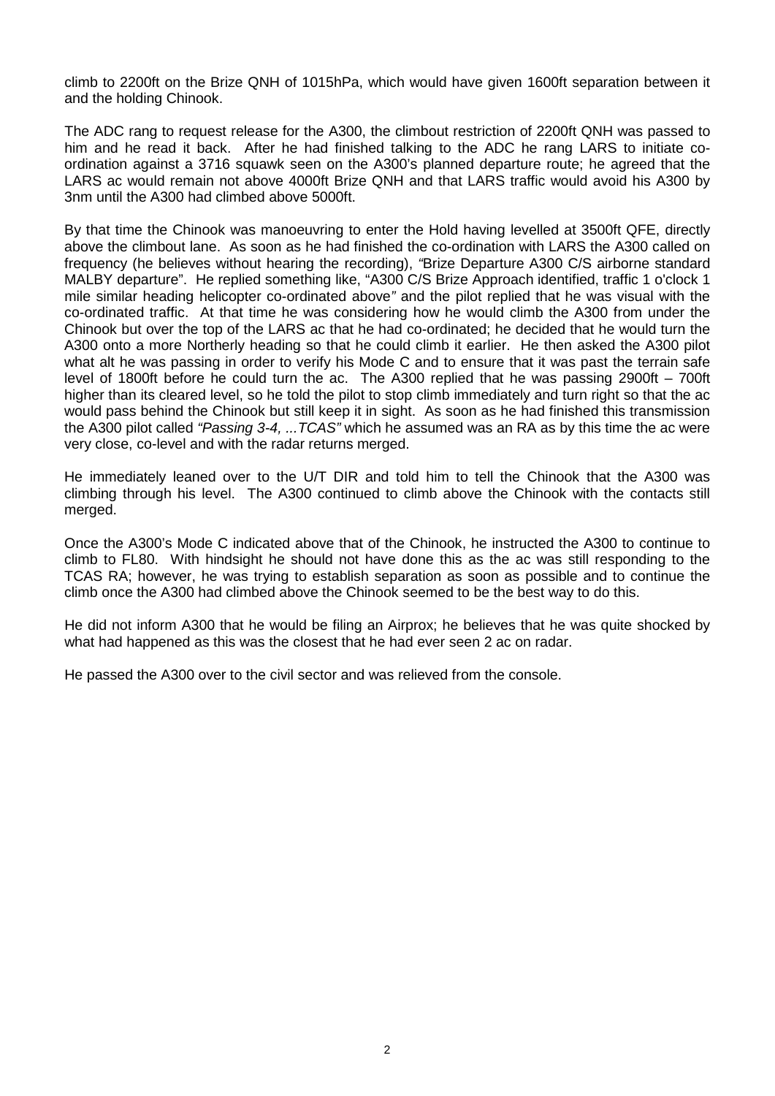climb to 2200ft on the Brize QNH of 1015hPa, which would have given 1600ft separation between it and the holding Chinook.

The ADC rang to request release for the A300, the climbout restriction of 2200ft QNH was passed to him and he read it back. After he had finished talking to the ADC he rang LARS to initiate coordination against a 3716 squawk seen on the A300's planned departure route; he agreed that the LARS ac would remain not above 4000ft Brize QNH and that LARS traffic would avoid his A300 by 3nm until the A300 had climbed above 5000ft.

By that time the Chinook was manoeuvring to enter the Hold having levelled at 3500ft QFE, directly above the climbout lane. As soon as he had finished the co-ordination with LARS the A300 called on frequency (he believes without hearing the recording), *"*Brize Departure A300 C/S airborne standard MALBY departure". He replied something like, "A300 C/S Brize Approach identified, traffic 1 o'clock 1 mile similar heading helicopter co-ordinated above*"* and the pilot replied that he was visual with the co-ordinated traffic. At that time he was considering how he would climb the A300 from under the Chinook but over the top of the LARS ac that he had co-ordinated; he decided that he would turn the A300 onto a more Northerly heading so that he could climb it earlier. He then asked the A300 pilot what alt he was passing in order to verify his Mode C and to ensure that it was past the terrain safe level of 1800ft before he could turn the ac. The A300 replied that he was passing 2900ft – 700ft higher than its cleared level, so he told the pilot to stop climb immediately and turn right so that the ac would pass behind the Chinook but still keep it in sight. As soon as he had finished this transmission the A300 pilot called *"Passing 3-4, ...TCAS"* which he assumed was an RA as by this time the ac were very close, co-level and with the radar returns merged.

He immediately leaned over to the U/T DIR and told him to tell the Chinook that the A300 was climbing through his level. The A300 continued to climb above the Chinook with the contacts still merged.

Once the A300's Mode C indicated above that of the Chinook, he instructed the A300 to continue to climb to FL80. With hindsight he should not have done this as the ac was still responding to the TCAS RA; however, he was trying to establish separation as soon as possible and to continue the climb once the A300 had climbed above the Chinook seemed to be the best way to do this.

He did not inform A300 that he would be filing an Airprox; he believes that he was quite shocked by what had happened as this was the closest that he had ever seen 2 ac on radar.

He passed the A300 over to the civil sector and was relieved from the console.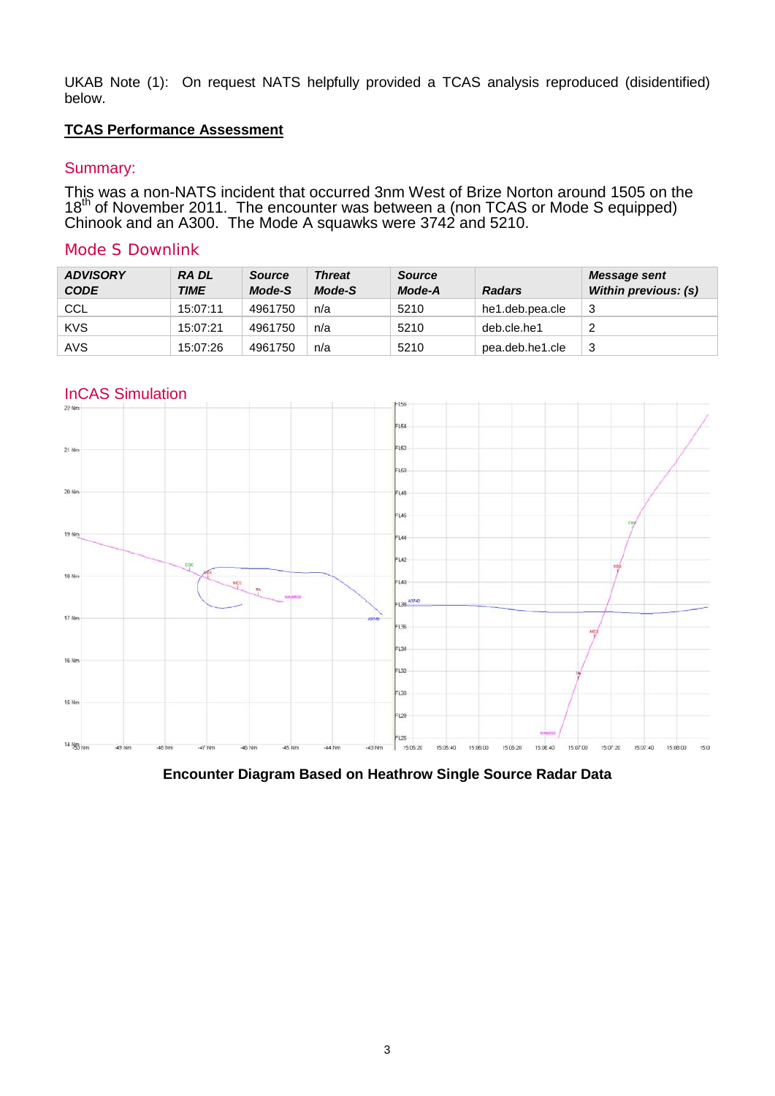UKAB Note (1): On request NATS helpfully provided a TCAS analysis reproduced (disidentified) below.

# **TCAS Performance Assessment**

# Summary:

This was a non-NATS incident that occurred 3nm West of Brize Norton around 1505 on the  $18<sup>th</sup>$  of November 2011. The encounter was between a (non TCAS or Mode S equipped) Chinook and an A300. The Mode A squawks were 3742 and 5210.

# Mode S Downlink

| <b>ADVISORY</b><br><b>CODE</b> | <b>RADL</b><br><b>TIME</b> | <b>Source</b><br>Mode-S | <b>Threat</b><br>Mode-S | <b>Source</b><br>Mode-A | <b>Radars</b>   | Message sent<br>Within previous: (s) |
|--------------------------------|----------------------------|-------------------------|-------------------------|-------------------------|-----------------|--------------------------------------|
| <b>CCL</b>                     | 15:07:11                   | 4961750                 | n/a                     | 5210                    | he1.deb.pea.cle | 3                                    |
| <b>KVS</b>                     | 15:07:21                   | 4961750                 | n/a                     | 5210                    | deb.cle.he1     | ີ                                    |
| <b>AVS</b>                     | 15:07:26                   | 4961750                 | n/a                     | 5210                    | pea.deb.he1.cle | 3                                    |

# InCAS Simulation



**Encounter Diagram Based on Heathrow Single Source Radar Data**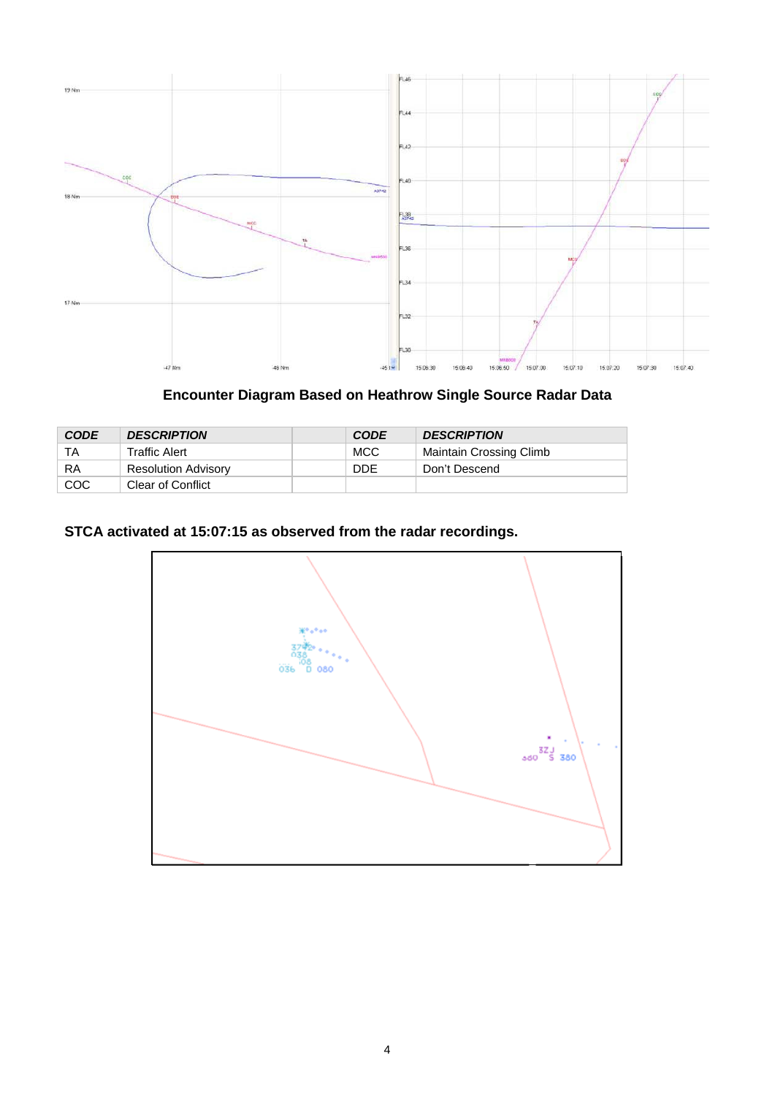

**Encounter Diagram Based on Heathrow Single Source Radar Data**

| <b>CODE</b> | <b>DESCRIPTION</b>         | <b>CODE</b> | <b>DESCRIPTION</b>      |  |
|-------------|----------------------------|-------------|-------------------------|--|
| ТA          | Traffic Alert              | <b>MCC</b>  | Maintain Crossing Climb |  |
| RA          | <b>Resolution Advisory</b> | <b>DDE</b>  | Don't Descend           |  |
| <b>COC</b>  | Clear of Conflict          |             |                         |  |

# **STCA activated at 15:07:15 as observed from the radar recordings.**

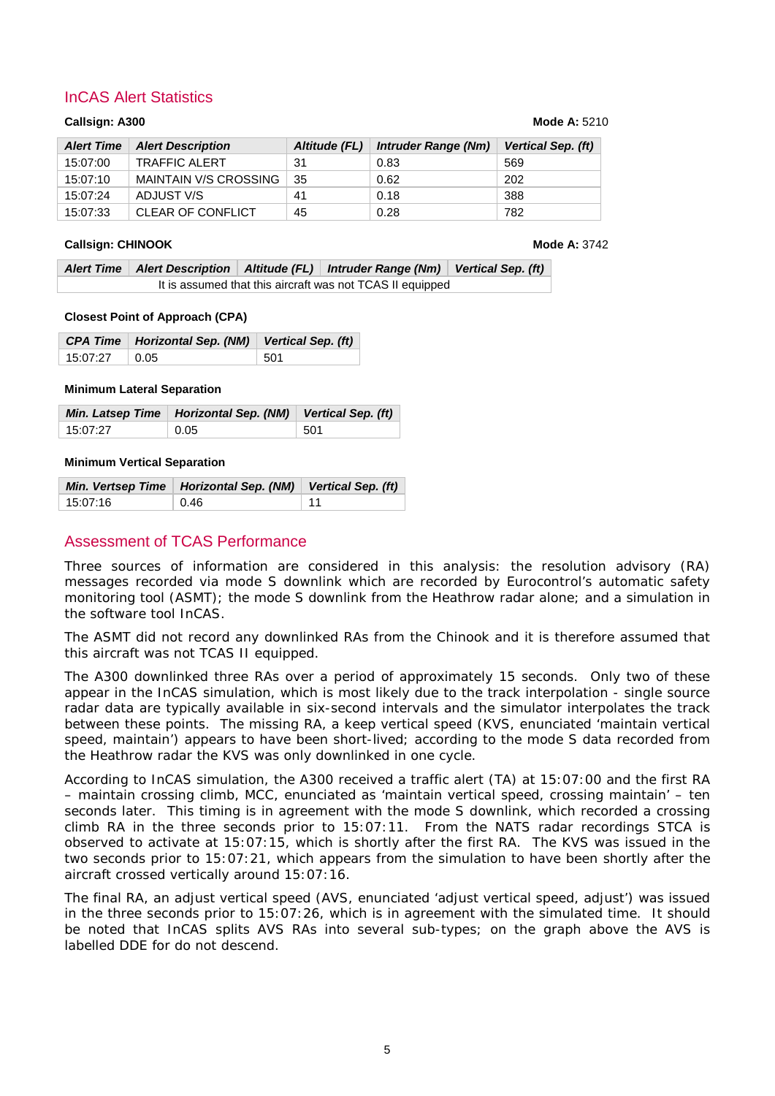# InCAS Alert Statistics

#### **Callsign: A300 Mode A:** 5210

| <b>Alert Time</b> | <b>Alert Description</b>     | Altitude (FL) | <b>Intruder Range (Nm)</b> | Vertical Sep. (ft) |
|-------------------|------------------------------|---------------|----------------------------|--------------------|
| 15:07:00          | <b>TRAFFIC ALERT</b>         | 31            | 0.83                       | 569                |
| 15:07:10          | <b>MAINTAIN V/S CROSSING</b> | 35            | 0.62                       | 202                |
| 15:07:24          | ADJUST V/S                   | 41            | 0.18                       | 388                |
| 15:07:33          | <b>CLEAR OF CONFLICT</b>     | 45            | 0.28                       | 782                |

### **Callsign: CHINOOK Mode A: 3742**

|                                                           |  |  | Alert Time   Alert Description   Altitude (FL)   Intruder Range (Nm)   Vertical Sep. (ft) |  |
|-----------------------------------------------------------|--|--|-------------------------------------------------------------------------------------------|--|
| It is assumed that this aircraft was not TCAS II equipped |  |  |                                                                                           |  |

#### **Closest Point of Approach (CPA)**

|                 | CPA Time   Horizontal Sep. (NM)   Vertical Sep. (ft) |              |
|-----------------|------------------------------------------------------|--------------|
| $15:07:27$ 0.05 |                                                      | $\sqrt{501}$ |

### **Minimum Lateral Separation**

|          | Min. Latsep Time   Horizontal Sep. (NM)   Vertical Sep. (ft) |      |
|----------|--------------------------------------------------------------|------|
| 15:07:27 | $\vert$ 0.05                                                 | -501 |

#### **Minimum Vertical Separation**

|          | Min. Vertsep Time   Horizontal Sep. (NM)   Vertical Sep. (ft) |    |
|----------|---------------------------------------------------------------|----|
| 15:07:16 | 0.46                                                          | 11 |

# Assessment of TCAS Performance

Three sources of information are considered in this analysis: the resolution advisory (RA) messages recorded via mode S downlink which are recorded by Eurocontrol's automatic safety monitoring tool (ASMT); the mode S downlink from the Heathrow radar alone; and a simulation in the software tool InCAS.

The ASMT did not record any downlinked RAs from the Chinook and it is therefore assumed that this aircraft was not TCAS II equipped.

The A300 downlinked three RAs over a period of approximately 15 seconds. Only two of these appear in the InCAS simulation, which is most likely due to the track interpolation - single source radar data are typically available in six-second intervals and the simulator interpolates the track between these points. The missing RA, a *keep vertical speed* (KVS, enunciated 'maintain vertical speed, maintain') appears to have been short-lived; according to the mode S data recorded from the Heathrow radar the KVS was only downlinked in one cycle.

According to InCAS simulation, the A300 received a traffic alert (TA) at 15:07:00 and the first RA – *maintain crossing climb*, MCC, enunciated as 'maintain vertical speed, crossing maintain' – ten seconds later. This timing is in agreement with the mode S downlink, which recorded a crossing climb RA in the three seconds prior to 15:07:11. From the NATS radar recordings STCA is observed to activate at 15:07:15, which is shortly after the first RA. The KVS was issued in the two seconds prior to 15:07:21, which appears from the simulation to have been shortly after the aircraft crossed vertically around 15:07:16.

The final RA, an *adjust vertical speed* (AVS, enunciated 'adjust vertical speed, adjust') was issued in the three seconds prior to 15:07:26, which is in agreement with the simulated time. It should be noted that InCAS splits AVS RAs into several sub-types; on the graph above the AVS is labelled DDE for *do not descend*.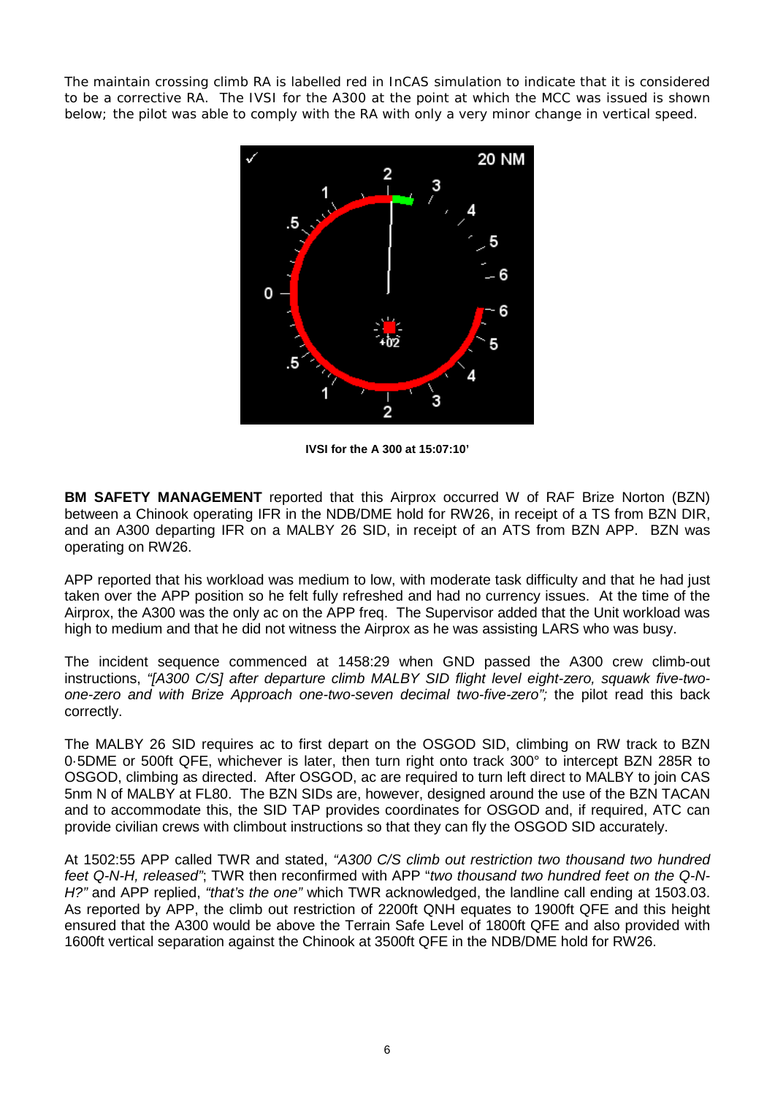The *maintain crossing climb* RA is labelled red in InCAS simulation to indicate that it is considered to be a corrective RA. The IVSI for the A300 at the point at which the MCC was issued is shown below; the pilot was able to comply with the RA with only a very minor change in vertical speed.



**IVSI for the A 300 at 15:07:10'**

**BM SAFETY MANAGEMENT** reported that this Airprox occurred W of RAF Brize Norton (BZN) between a Chinook operating IFR in the NDB/DME hold for RW26, in receipt of a TS from BZN DIR, and an A300 departing IFR on a MALBY 26 SID, in receipt of an ATS from BZN APP. BZN was operating on RW26.

APP reported that his workload was medium to low, with moderate task difficulty and that he had just taken over the APP position so he felt fully refreshed and had no currency issues. At the time of the Airprox, the A300 was the only ac on the APP freq. The Supervisor added that the Unit workload was high to medium and that he did not witness the Airprox as he was assisting LARS who was busy.

The incident sequence commenced at 1458:29 when GND passed the A300 crew climb-out instructions, *"[A300 C/S] after departure climb MALBY SID flight level eight-zero, squawk five-twoone-zero and with Brize Approach one-two-seven decimal two-five-zero";* the pilot read this back correctly.

The MALBY 26 SID requires ac to first depart on the OSGOD SID, climbing on RW track to BZN 0·5DME or 500ft QFE, whichever is later, then turn right onto track 300° to intercept BZN 285R to OSGOD, climbing as directed. After OSGOD, ac are required to turn left direct to MALBY to join CAS 5nm N of MALBY at FL80. The BZN SIDs are, however, designed around the use of the BZN TACAN and to accommodate this, the SID TAP provides coordinates for OSGOD and, if required, ATC can provide civilian crews with climbout instructions so that they can fly the OSGOD SID accurately.

At 1502:55 APP called TWR and stated, *"A300 C/S climb out restriction two thousand two hundred feet Q-N-H, released"*; TWR then reconfirmed with APP "*two thousand two hundred feet on the Q-N-H?"* and APP replied, *"that's the one"* which TWR acknowledged, the landline call ending at 1503.03. As reported by APP, the climb out restriction of 2200ft QNH equates to 1900ft QFE and this height ensured that the A300 would be above the Terrain Safe Level of 1800ft QFE and also provided with 1600ft vertical separation against the Chinook at 3500ft QFE in the NDB/DME hold for RW26.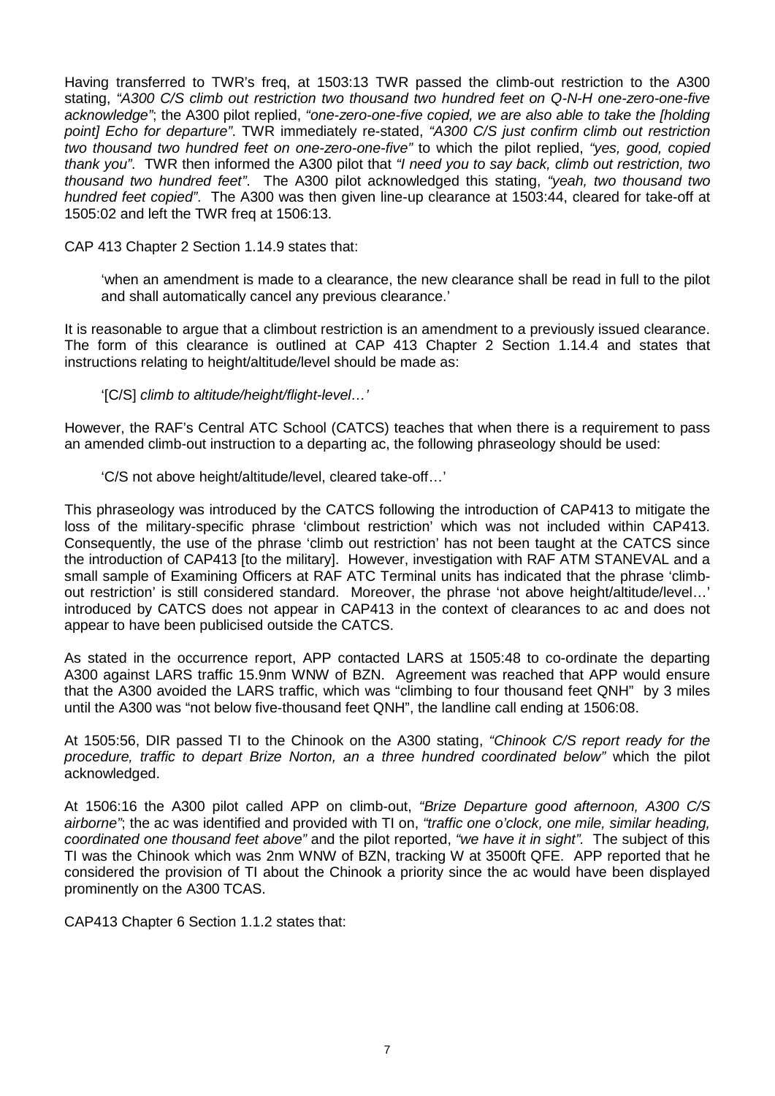Having transferred to TWR's freq, at 1503:13 TWR passed the climb-out restriction to the A300 stating, *"A300 C/S climb out restriction two thousand two hundred feet on Q-N-H one-zero-one-five acknowledge"*; the A300 pilot replied, *"one-zero-one-five copied, we are also able to take the [holding point] Echo for departure"*. TWR immediately re-stated, *"A300 C/S just confirm climb out restriction two thousand two hundred feet on one-zero-one-five"* to which the pilot replied, *"yes, good, copied thank you"*. TWR then informed the A300 pilot that *"I need you to say back, climb out restriction, two thousand two hundred feet"*. The A300 pilot acknowledged this stating, *"yeah, two thousand two hundred feet copied"*. The A300 was then given line-up clearance at 1503:44, cleared for take-off at 1505:02 and left the TWR freq at 1506:13.

CAP 413 Chapter 2 Section 1.14.9 states that:

'when an amendment is made to a clearance, the new clearance shall be read in full to the pilot and shall automatically cancel any previous clearance.'

It is reasonable to argue that a climbout restriction is an amendment to a previously issued clearance. The form of this clearance is outlined at CAP 413 Chapter 2 Section 1.14.4 and states that instructions relating to height/altitude/level should be made as:

'[C/S] *climb to altitude/height/flight-level…'*

However, the RAF's Central ATC School (CATCS) teaches that when there is a requirement to pass an amended climb-out instruction to a departing ac, the following phraseology should be used:

'C/S not above height/altitude/level, cleared take-off…'

This phraseology was introduced by the CATCS following the introduction of CAP413 to mitigate the loss of the military-specific phrase 'climbout restriction' which was not included within CAP413. Consequently, the use of the phrase 'climb out restriction' has not been taught at the CATCS since the introduction of CAP413 [to the military]. However, investigation with RAF ATM STANEVAL and a small sample of Examining Officers at RAF ATC Terminal units has indicated that the phrase 'climbout restriction' is still considered standard. Moreover, the phrase 'not above height/altitude/level…' introduced by CATCS does not appear in CAP413 in the context of clearances to ac and does not appear to have been publicised outside the CATCS.

As stated in the occurrence report, APP contacted LARS at 1505:48 to co-ordinate the departing A300 against LARS traffic 15.9nm WNW of BZN. Agreement was reached that APP would ensure that the A300 avoided the LARS traffic, which was "climbing to four thousand feet QNH" by 3 miles until the A300 was "not below five-thousand feet QNH", the landline call ending at 1506:08.

At 1505:56, DIR passed TI to the Chinook on the A300 stating, *"Chinook C/S report ready for the procedure, traffic to depart Brize Norton, an a three hundred coordinated below"* which the pilot acknowledged.

At 1506:16 the A300 pilot called APP on climb-out, *"Brize Departure good afternoon, A300 C/S airborne"*; the ac was identified and provided with TI on, *"traffic one o'clock, one mile, similar heading, coordinated one thousand feet above"* and the pilot reported, *"we have it in sight".* The subject of this TI was the Chinook which was 2nm WNW of BZN, tracking W at 3500ft QFE. APP reported that he considered the provision of TI about the Chinook a priority since the ac would have been displayed prominently on the A300 TCAS.

CAP413 Chapter 6 Section 1.1.2 states that: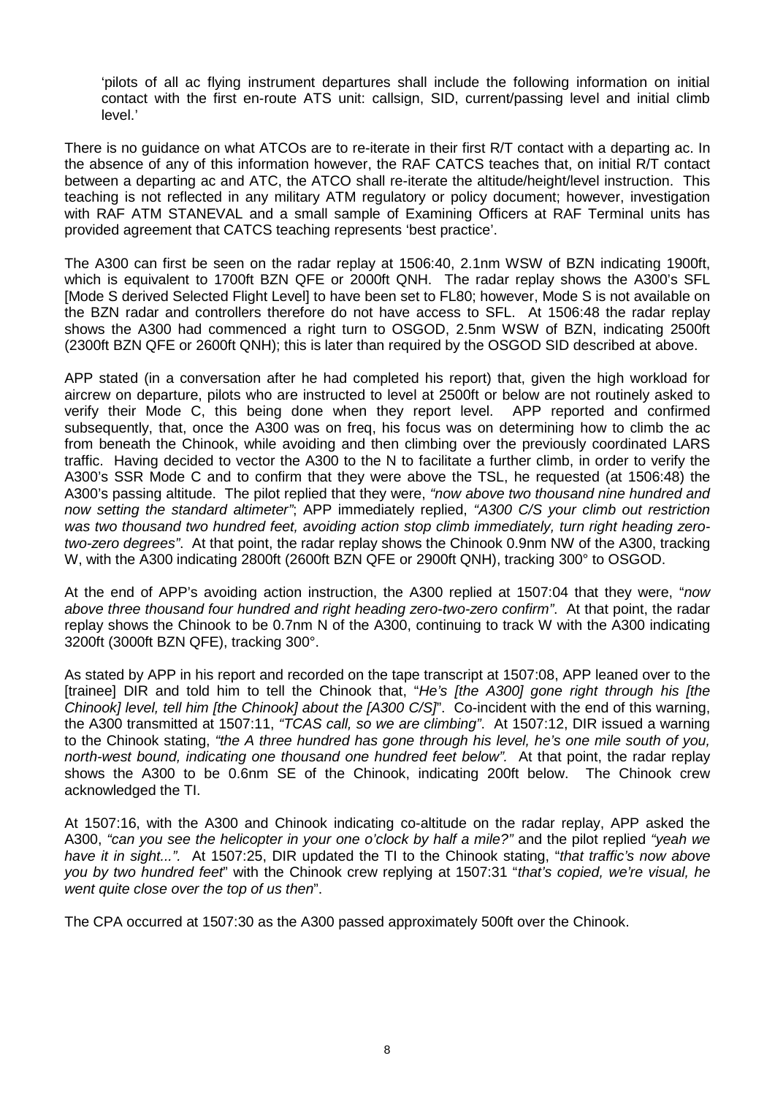'pilots of all ac flying instrument departures shall include the following information on initial contact with the first en-route ATS unit: callsign, SID, current/passing level and initial climb level.'

There is no guidance on what ATCOs are to re-iterate in their first R/T contact with a departing ac. In the absence of any of this information however, the RAF CATCS teaches that, on initial R/T contact between a departing ac and ATC, the ATCO shall re-iterate the altitude/height/level instruction. This teaching is not reflected in any military ATM regulatory or policy document; however, investigation with RAF ATM STANEVAL and a small sample of Examining Officers at RAF Terminal units has provided agreement that CATCS teaching represents 'best practice'.

The A300 can first be seen on the radar replay at 1506:40, 2.1nm WSW of BZN indicating 1900ft, which is equivalent to 1700ft BZN QFE or 2000ft QNH. The radar replay shows the A300's SFL [Mode S derived Selected Flight Level] to have been set to FL80; however, Mode S is not available on the BZN radar and controllers therefore do not have access to SFL. At 1506:48 the radar replay shows the A300 had commenced a right turn to OSGOD, 2.5nm WSW of BZN, indicating 2500ft (2300ft BZN QFE or 2600ft QNH); this is later than required by the OSGOD SID described at above.

APP stated (in a conversation after he had completed his report) that, given the high workload for aircrew on departure, pilots who are instructed to level at 2500ft or below are not routinely asked to verify their Mode C, this being done when they report level. APP reported and confirmed subsequently, that, once the A300 was on freq, his focus was on determining how to climb the ac from beneath the Chinook, while avoiding and then climbing over the previously coordinated LARS traffic. Having decided to vector the A300 to the N to facilitate a further climb, in order to verify the A300's SSR Mode C and to confirm that they were above the TSL, he requested (at 1506:48) the A300's passing altitude. The pilot replied that they were, *"now above two thousand nine hundred and now setting the standard altimeter"*; APP immediately replied, *"A300 C/S your climb out restriction was two thousand two hundred feet, avoiding action stop climb immediately, turn right heading zerotwo-zero degrees"*. At that point, the radar replay shows the Chinook 0.9nm NW of the A300, tracking W, with the A300 indicating 2800ft (2600ft BZN QFE or 2900ft QNH), tracking 300° to OSGOD.

At the end of APP's avoiding action instruction, the A300 replied at 1507:04 that they were, "*now above three thousand four hundred and right heading zero-two-zero confirm"*. At that point, the radar replay shows the Chinook to be 0.7nm N of the A300, continuing to track W with the A300 indicating 3200ft (3000ft BZN QFE), tracking 300°.

As stated by APP in his report and recorded on the tape transcript at 1507:08, APP leaned over to the [trainee] DIR and told him to tell the Chinook that, "*He's [the A300] gone right through his [the Chinook] level, tell him [the Chinook] about the [A300 C/S]*". Co-incident with the end of this warning, the A300 transmitted at 1507:11, *"TCAS call, so we are climbing"*. At 1507:12, DIR issued a warning to the Chinook stating, *"the A three hundred has gone through his level, he's one mile south of you, north-west bound, indicating one thousand one hundred feet below".* At that point, the radar replay shows the A300 to be 0.6nm SE of the Chinook, indicating 200ft below. The Chinook crew acknowledged the TI.

At 1507:16, with the A300 and Chinook indicating co-altitude on the radar replay, APP asked the A300, *"can you see the helicopter in your one o'clock by half a mile?"* and the pilot replied *"yeah we have it in sight...".* At 1507:25, DIR updated the TI to the Chinook stating, "*that traffic's now above you by two hundred feet*" with the Chinook crew replying at 1507:31 "*that's copied, we're visual, he went quite close over the top of us then*".

The CPA occurred at 1507:30 as the A300 passed approximately 500ft over the Chinook.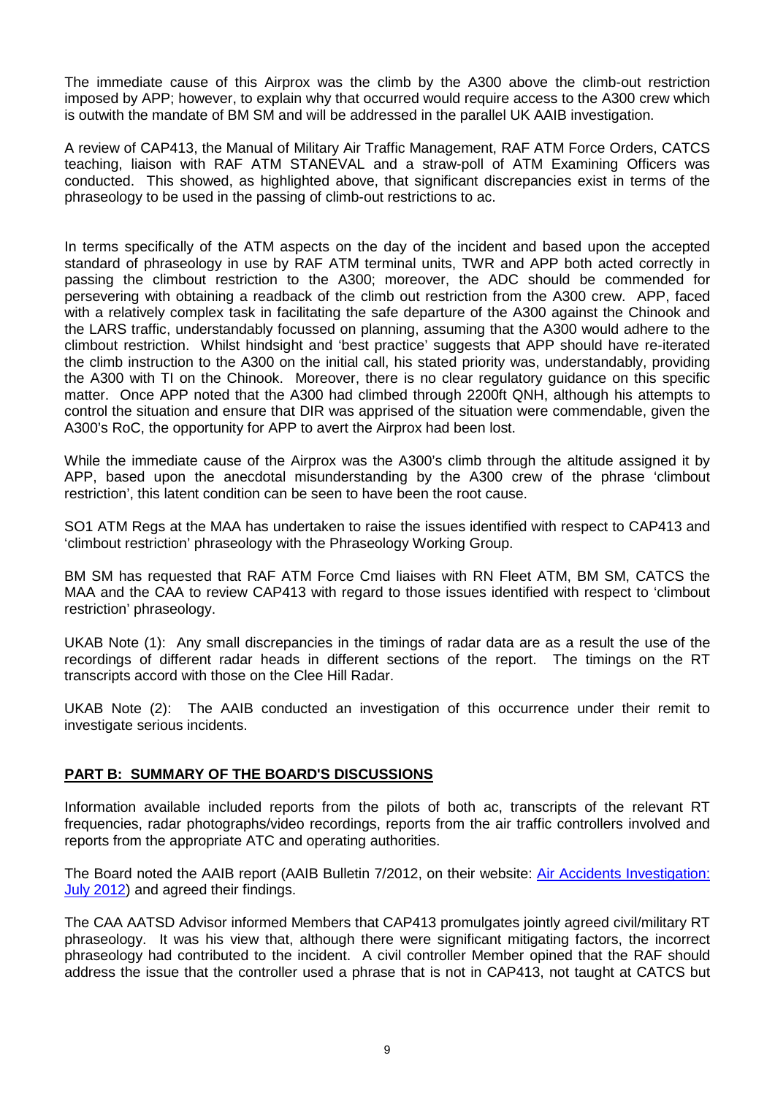The immediate cause of this Airprox was the climb by the A300 above the climb-out restriction imposed by APP; however, to explain why that occurred would require access to the A300 crew which is outwith the mandate of BM SM and will be addressed in the parallel UK AAIB investigation.

A review of CAP413, the Manual of Military Air Traffic Management, RAF ATM Force Orders, CATCS teaching, liaison with RAF ATM STANEVAL and a straw-poll of ATM Examining Officers was conducted. This showed, as highlighted above, that significant discrepancies exist in terms of the phraseology to be used in the passing of climb-out restrictions to ac.

In terms specifically of the ATM aspects on the day of the incident and based upon the accepted standard of phraseology in use by RAF ATM terminal units, TWR and APP both acted correctly in passing the climbout restriction to the A300; moreover, the ADC should be commended for persevering with obtaining a readback of the climb out restriction from the A300 crew. APP, faced with a relatively complex task in facilitating the safe departure of the A300 against the Chinook and the LARS traffic, understandably focussed on planning, assuming that the A300 would adhere to the climbout restriction. Whilst hindsight and 'best practice' suggests that APP should have re-iterated the climb instruction to the A300 on the initial call, his stated priority was, understandably, providing the A300 with TI on the Chinook. Moreover, there is no clear regulatory guidance on this specific matter. Once APP noted that the A300 had climbed through 2200ft QNH, although his attempts to control the situation and ensure that DIR was apprised of the situation were commendable, given the A300's RoC, the opportunity for APP to avert the Airprox had been lost.

While the immediate cause of the Airprox was the A300's climb through the altitude assigned it by APP, based upon the anecdotal misunderstanding by the A300 crew of the phrase 'climbout restriction', this latent condition can be seen to have been the root cause.

SO1 ATM Regs at the MAA has undertaken to raise the issues identified with respect to CAP413 and 'climbout restriction' phraseology with the Phraseology Working Group.

BM SM has requested that RAF ATM Force Cmd liaises with RN Fleet ATM, BM SM, CATCS the MAA and the CAA to review CAP413 with regard to those issues identified with respect to 'climbout restriction' phraseology.

UKAB Note (1): Any small discrepancies in the timings of radar data are as a result the use of the recordings of different radar heads in different sections of the report. The timings on the RT transcripts accord with those on the Clee Hill Radar.

UKAB Note (2): The AAIB conducted an investigation of this occurrence under their remit to investigate serious incidents.

# **PART B: SUMMARY OF THE BOARD'S DISCUSSIONS**

Information available included reports from the pilots of both ac, transcripts of the relevant RT frequencies, radar photographs/video recordings, reports from the air traffic controllers involved and reports from the appropriate ATC and operating authorities.

The Board noted the AAIB report (AAIB Bulletin 7/2012, on their website: [Air Accidents Investigation:](http://www.aaib.gov.uk/publications/bulletins/july_2012.cfm)  [July 2012\)](http://www.aaib.gov.uk/publications/bulletins/july_2012.cfm) and agreed their findings.

The CAA AATSD Advisor informed Members that CAP413 promulgates jointly agreed civil/military RT phraseology. It was his view that, although there were significant mitigating factors, the incorrect phraseology had contributed to the incident. A civil controller Member opined that the RAF should address the issue that the controller used a phrase that is not in CAP413, not taught at CATCS but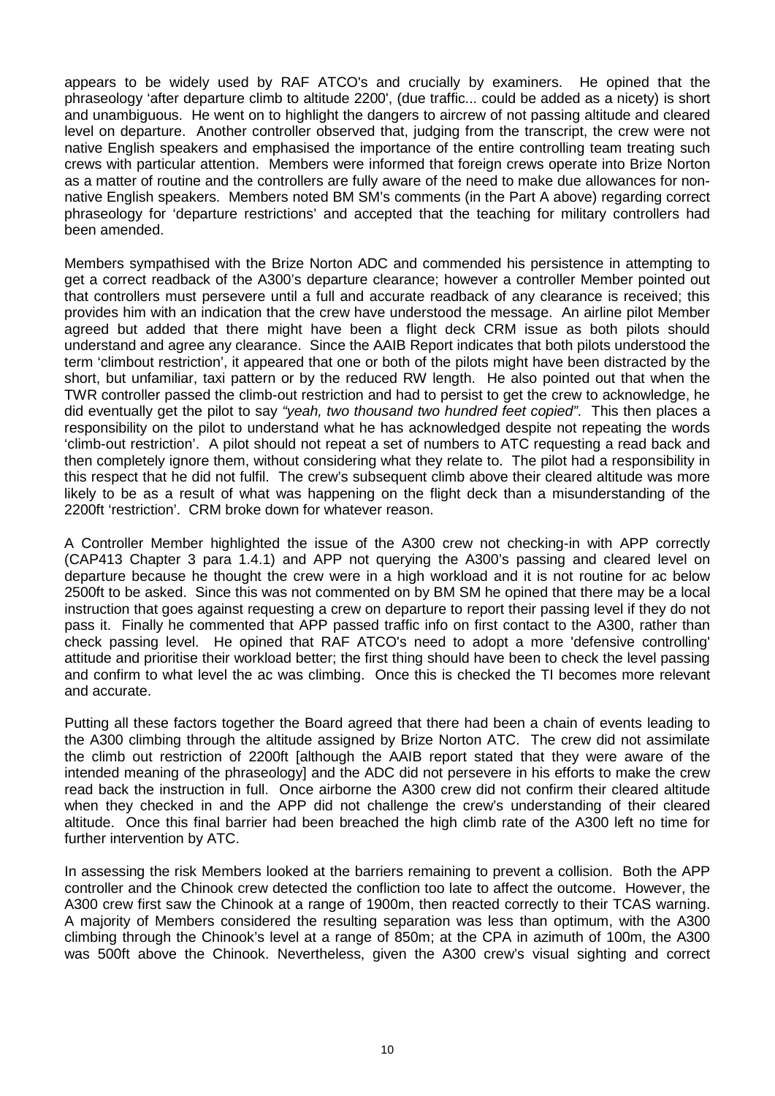appears to be widely used by RAF ATCO's and crucially by examiners. He opined that the phraseology 'after departure climb to altitude 2200', (due traffic... could be added as a nicety) is short and unambiguous. He went on to highlight the dangers to aircrew of not passing altitude and cleared level on departure. Another controller observed that, judging from the transcript, the crew were not native English speakers and emphasised the importance of the entire controlling team treating such crews with particular attention. Members were informed that foreign crews operate into Brize Norton as a matter of routine and the controllers are fully aware of the need to make due allowances for nonnative English speakers. Members noted BM SM's comments (in the Part A above) regarding correct phraseology for 'departure restrictions' and accepted that the teaching for military controllers had been amended.

Members sympathised with the Brize Norton ADC and commended his persistence in attempting to get a correct readback of the A300's departure clearance; however a controller Member pointed out that controllers must persevere until a full and accurate readback of any clearance is received; this provides him with an indication that the crew have understood the message. An airline pilot Member agreed but added that there might have been a flight deck CRM issue as both pilots should understand and agree any clearance. Since the AAIB Report indicates that both pilots understood the term 'climbout restriction', it appeared that one or both of the pilots might have been distracted by the short, but unfamiliar, taxi pattern or by the reduced RW length. He also pointed out that when the TWR controller passed the climb-out restriction and had to persist to get the crew to acknowledge, he did eventually get the pilot to say *"yeah, two thousand two hundred feet copied"*. This then places a responsibility on the pilot to understand what he has acknowledged despite not repeating the words 'climb-out restriction'. A pilot should not repeat a set of numbers to ATC requesting a read back and then completely ignore them, without considering what they relate to. The pilot had a responsibility in this respect that he did not fulfil. The crew's subsequent climb above their cleared altitude was more likely to be as a result of what was happening on the flight deck than a misunderstanding of the 2200ft 'restriction'. CRM broke down for whatever reason.

A Controller Member highlighted the issue of the A300 crew not checking-in with APP correctly (CAP413 Chapter 3 para 1.4.1) and APP not querying the A300's passing and cleared level on departure because he thought the crew were in a high workload and it is not routine for ac below 2500ft to be asked. Since this was not commented on by BM SM he opined that there may be a local instruction that goes against requesting a crew on departure to report their passing level if they do not pass it. Finally he commented that APP passed traffic info on first contact to the A300, rather than check passing level. He opined that RAF ATCO's need to adopt a more 'defensive controlling' attitude and prioritise their workload better; the first thing should have been to check the level passing and confirm to what level the ac was climbing. Once this is checked the TI becomes more relevant and accurate.

Putting all these factors together the Board agreed that there had been a chain of events leading to the A300 climbing through the altitude assigned by Brize Norton ATC. The crew did not assimilate the climb out restriction of 2200ft [although the AAIB report stated that they were aware of the intended meaning of the phraseology] and the ADC did not persevere in his efforts to make the crew read back the instruction in full. Once airborne the A300 crew did not confirm their cleared altitude when they checked in and the APP did not challenge the crew's understanding of their cleared altitude. Once this final barrier had been breached the high climb rate of the A300 left no time for further intervention by ATC.

In assessing the risk Members looked at the barriers remaining to prevent a collision. Both the APP controller and the Chinook crew detected the confliction too late to affect the outcome. However, the A300 crew first saw the Chinook at a range of 1900m, then reacted correctly to their TCAS warning. A majority of Members considered the resulting separation was less than optimum, with the A300 climbing through the Chinook's level at a range of 850m; at the CPA in azimuth of 100m, the A300 was 500ft above the Chinook. Nevertheless, given the A300 crew's visual sighting and correct